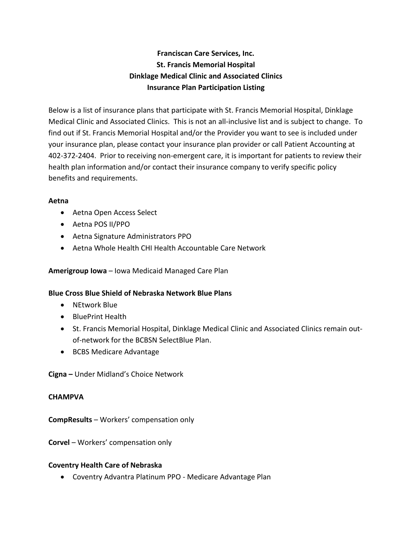# **Franciscan Care Services, Inc. St. Francis Memorial Hospital Dinklage Medical Clinic and Associated Clinics Insurance Plan Participation Listing**

Below is a list of insurance plans that participate with St. Francis Memorial Hospital, Dinklage Medical Clinic and Associated Clinics. This is not an all-inclusive list and is subject to change. To find out if St. Francis Memorial Hospital and/or the Provider you want to see is included under your insurance plan, please contact your insurance plan provider or call Patient Accounting at 402-372-2404. Prior to receiving non-emergent care, it is important for patients to review their health plan information and/or contact their insurance company to verify specific policy benefits and requirements.

#### **Aetna**

- Aetna Open Access Select
- Aetna POS II/PPO
- Aetna Signature Administrators PPO
- Aetna Whole Health CHI Health Accountable Care Network

# **Amerigroup Iowa** – Iowa Medicaid Managed Care Plan

#### **Blue Cross Blue Shield of Nebraska Network Blue Plans**

- NEtwork Blue
- BluePrint Health
- St. Francis Memorial Hospital, Dinklage Medical Clinic and Associated Clinics remain outof-network for the BCBSN SelectBlue Plan.
- BCBS Medicare Advantage

**Cigna –** Under Midland's Choice Network

#### **CHAMPVA**

**CompResults** – Workers' compensation only

**Corvel** – Workers' compensation only

# **Coventry Health Care of Nebraska**

• Coventry Advantra Platinum PPO - Medicare Advantage Plan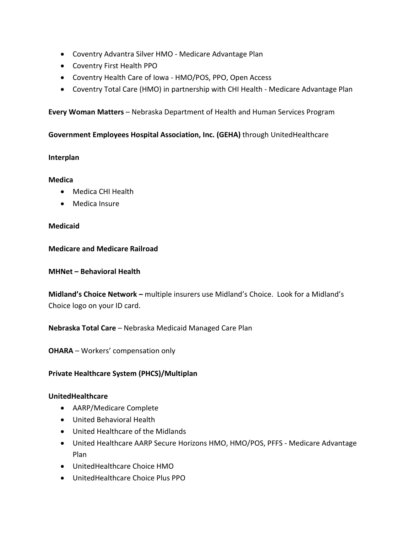- Coventry Advantra Silver HMO Medicare Advantage Plan
- Coventry First Health PPO
- Coventry Health Care of Iowa HMO/POS, PPO, Open Access
- Coventry Total Care (HMO) in partnership with CHI Health Medicare Advantage Plan

# **Every Woman Matters** – Nebraska Department of Health and Human Services Program

# **Government Employees Hospital Association, Inc. (GEHA)** through UnitedHealthcare

# **Interplan**

#### **Medica**

- Medica CHI Health
- Medica Insure

# **Medicaid**

**Medicare and Medicare Railroad**

**MHNet – Behavioral Health**

**Midland's Choice Network –** multiple insurers use Midland's Choice. Look for a Midland's Choice logo on your ID card.

**Nebraska Total Care** – Nebraska Medicaid Managed Care Plan

**OHARA** – Workers' compensation only

# **Private Healthcare System (PHCS)/Multiplan**

#### **UnitedHealthcare**

- AARP/Medicare Complete
- United Behavioral Health
- United Healthcare of the Midlands
- United Healthcare AARP Secure Horizons HMO, HMO/POS, PFFS Medicare Advantage Plan
- UnitedHealthcare Choice HMO
- UnitedHealthcare Choice Plus PPO